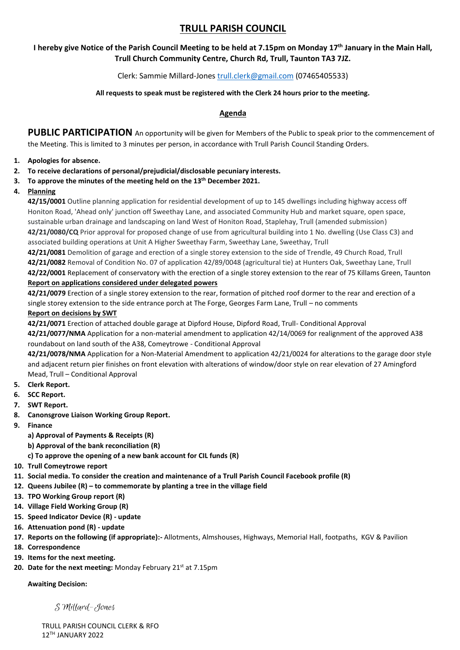# **TRULL PARISH COUNCIL**

# **I hereby give Notice of the Parish Council Meeting to be held at 7.15pm on Monday 17th January in the Main Hall, Trull Church Community Centre, Church Rd, Trull, Taunton TA3 7JZ.**

# Clerk: Sammie Millard-Jones [trull.clerk@gmail.com](mailto:trull.clerk@gmail.com) (07465405533)

### **All requests to speak must be registered with the Clerk 24 hours prior to the meeting.**

## **Agenda**

PUBLIC PARTICIPATION An opportunity will be given for Members of the Public to speak prior to the commencement of the Meeting. This is limited to 3 minutes per person, in accordance with Trull Parish Council Standing Orders.

#### **1. Apologies for absence.**

- **2. To receive declarations of personal/prejudicial/disclosable pecuniary interests.**
- **3. To approve the minutes of the meeting held on the 13th December 2021.**

#### **4. Planning**

**42/15/0001** Outline planning application for residential development of up to 145 dwellings including highway access off Honiton Road, 'Ahead only' junction off Sweethay Lane, and associated Community Hub and market square, open space, sustainable urban drainage and landscaping on land West of Honiton Road, Staplehay, Trull (amended submission) **42/21/0080/CQ** Prior approval for proposed change of use from agricultural building into 1 No. dwelling (Use Class C3) and associated building operations at Unit A Higher Sweethay Farm, Sweethay Lane, Sweethay, Trull

**42/21/0081** Demolition of garage and erection of a single storey extension to the side of Trendle, 49 Church Road, Trull **42/21/0082** Removal of Condition No. 07 of application 42/89/0048 (agricultural tie) at Hunters Oak, Sweethay Lane, Trull **42/22/0001** Replacement of conservatory with the erection of a single storey extension to the rear of 75 Killams Green, Taunton

#### **Report on applications considered under delegated powers**

**42/21/0079** Erection of a single storey extension to the rear, formation of pitched roof dormer to the rear and erection of a single storey extension to the side entrance porch at The Forge, Georges Farm Lane, Trull – no comments

#### **Report on decisions by SWT**

**42/21/0071** Erection of attached double garage at Dipford House, Dipford Road, Trull- Conditional Approval

**42/21/0077/NMA** Application for a non-material amendment to application 42/14/0069 for realignment of the approved A38 roundabout on land south of the A38, Comeytrowe - Conditional Approval

**42/21/0078/NMA** Application for a Non-Material Amendment to application 42/21/0024 for alterations to the garage door style and adjacent return pier finishes on front elevation with alterations of window/door style on rear elevation of 27 Amingford Mead, Trull – Conditional Approval

- **5. Clerk Report.**
- **6. SCC Report.**
- **7. SWT Report.**
- **8. Canonsgrove Liaison Working Group Report.**
- **9. Finance**
	- **a) Approval of Payments & Receipts (R)**
	- **b) Approval of the bank reconciliation (R)**
	- **c) To approve the opening of a new bank account for CIL funds (R)**
- **10. Trull Comeytrowe report**
- **11. Social media. To consider the creation and maintenance of a Trull Parish Council Facebook profile (R)**
- **12. Queens Jubilee (R) – to commemorate by planting a tree in the village field**
- **13. TPO Working Group report (R)**
- **14. Village Field Working Group (R)**
- **15. Speed Indicator Device (R) - update**
- **16. Attenuation pond (R) - update**
- **17. Reports on the following (if appropriate):-** Allotments, Almshouses, Highways, Memorial Hall, footpaths, KGV & Pavilion
- **18. Correspondence**
- **19. Items for the next meeting.**
- **20. Date for the next meeting: Monday February 21<sup>st</sup> at 7.15pm**

#### **Awaiting Decision:**

S Millard-Jones

TRULL PARISH COUNCIL CLERK & RFO 12TH JANUARY 2022